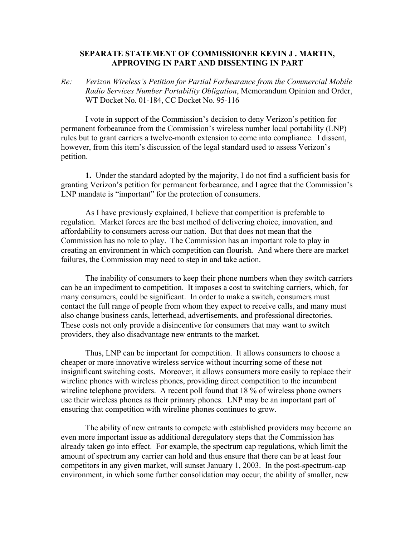## **SEPARATE STATEMENT OF COMMISSIONER KEVIN J . MARTIN, APPROVING IN PART AND DISSENTING IN PART**

*Re: Verizon Wireless's Petition for Partial Forbearance from the Commercial Mobile Radio Services Number Portability Obligation*, Memorandum Opinion and Order, WT Docket No. 01-184, CC Docket No. 95-116

I vote in support of the Commission's decision to deny Verizon's petition for permanent forbearance from the Commission's wireless number local portability (LNP) rules but to grant carriers a twelve-month extension to come into compliance. I dissent, however, from this item's discussion of the legal standard used to assess Verizon's petition.

**1.** Under the standard adopted by the majority, I do not find a sufficient basis for granting Verizon's petition for permanent forbearance, and I agree that the Commission's LNP mandate is "important" for the protection of consumers.

As I have previously explained, I believe that competition is preferable to regulation. Market forces are the best method of delivering choice, innovation, and affordability to consumers across our nation. But that does not mean that the Commission has no role to play. The Commission has an important role to play in creating an environment in which competition can flourish. And where there are market failures, the Commission may need to step in and take action.

 The inability of consumers to keep their phone numbers when they switch carriers can be an impediment to competition. It imposes a cost to switching carriers, which, for many consumers, could be significant. In order to make a switch, consumers must contact the full range of people from whom they expect to receive calls, and many must also change business cards, letterhead, advertisements, and professional directories. These costs not only provide a disincentive for consumers that may want to switch providers, they also disadvantage new entrants to the market.

 Thus, LNP can be important for competition. It allows consumers to choose a cheaper or more innovative wireless service without incurring some of these not insignificant switching costs. Moreover, it allows consumers more easily to replace their wireline phones with wireless phones, providing direct competition to the incumbent wireline telephone providers. A recent poll found that 18 % of wireless phone owners use their wireless phones as their primary phones. LNP may be an important part of ensuring that competition with wireline phones continues to grow.

 The ability of new entrants to compete with established providers may become an even more important issue as additional deregulatory steps that the Commission has already taken go into effect. For example, the spectrum cap regulations, which limit the amount of spectrum any carrier can hold and thus ensure that there can be at least four competitors in any given market, will sunset January 1, 2003. In the post-spectrum-cap environment, in which some further consolidation may occur, the ability of smaller, new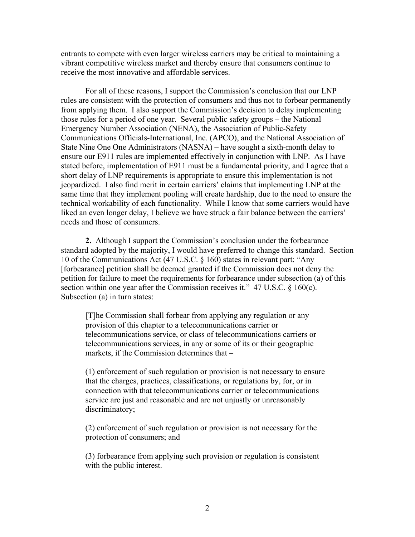entrants to compete with even larger wireless carriers may be critical to maintaining a vibrant competitive wireless market and thereby ensure that consumers continue to receive the most innovative and affordable services.

For all of these reasons, I support the Commission's conclusion that our LNP rules are consistent with the protection of consumers and thus not to forbear permanently from applying them. I also support the Commission's decision to delay implementing those rules for a period of one year. Several public safety groups – the National Emergency Number Association (NENA), the Association of Public-Safety Communications Officials-International, Inc. (APCO), and the National Association of State Nine One One Administrators (NASNA) – have sought a sixth-month delay to ensure our E911 rules are implemented effectively in conjunction with LNP. As I have stated before, implementation of E911 must be a fundamental priority, and I agree that a short delay of LNP requirements is appropriate to ensure this implementation is not jeopardized. I also find merit in certain carriers' claims that implementing LNP at the same time that they implement pooling will create hardship, due to the need to ensure the technical workability of each functionality. While I know that some carriers would have liked an even longer delay, I believe we have struck a fair balance between the carriers' needs and those of consumers.

**2.** Although I support the Commission's conclusion under the forbearance standard adopted by the majority, I would have preferred to change this standard. Section 10 of the Communications Act (47 U.S.C. § 160) states in relevant part: "Any [forbearance] petition shall be deemed granted if the Commission does not deny the petition for failure to meet the requirements for forbearance under subsection (a) of this section within one year after the Commission receives it." 47 U.S.C. § 160(c). Subsection (a) in turn states:

[T]he Commission shall forbear from applying any regulation or any provision of this chapter to a telecommunications carrier or telecommunications service, or class of telecommunications carriers or telecommunications services, in any or some of its or their geographic markets, if the Commission determines that –

(1) enforcement of such regulation or provision is not necessary to ensure that the charges, practices, classifications, or regulations by, for, or in connection with that telecommunications carrier or telecommunications service are just and reasonable and are not unjustly or unreasonably discriminatory;

(2) enforcement of such regulation or provision is not necessary for the protection of consumers; and

(3) forbearance from applying such provision or regulation is consistent with the public interest.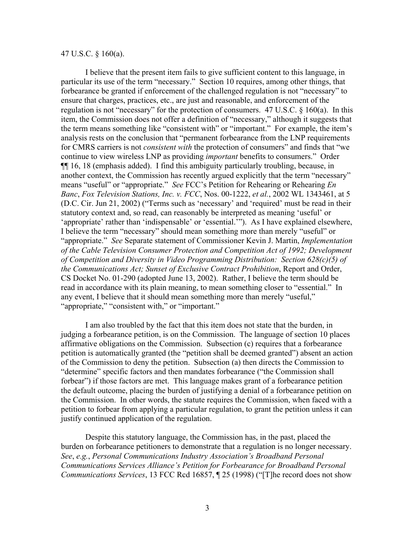## 47 U.S.C. § 160(a).

I believe that the present item fails to give sufficient content to this language, in particular its use of the term "necessary." Section 10 requires, among other things, that forbearance be granted if enforcement of the challenged regulation is not "necessary" to ensure that charges, practices, etc., are just and reasonable, and enforcement of the regulation is not "necessary" for the protection of consumers. 47 U.S.C. § 160(a). In this item, the Commission does not offer a definition of "necessary," although it suggests that the term means something like "consistent with" or "important." For example, the item's analysis rests on the conclusion that "permanent forbearance from the LNP requirements for CMRS carriers is not *consistent with* the protection of consumers" and finds that "we continue to view wireless LNP as providing *important* benefits to consumers." Order ¶¶ 16, 18 (emphasis added). I find this ambiguity particularly troubling, because, in another context, the Commission has recently argued explicitly that the term "necessary" means "useful" or "appropriate." *See* FCC's Petition for Rehearing or Rehearing *En Banc*, *Fox Television Stations, Inc. v. FCC*, Nos. 00-1222, *et al.*, 2002 WL 1343461, at 5 (D.C. Cir. Jun 21, 2002) ("Terms such as 'necessary' and 'required' must be read in their statutory context and, so read, can reasonably be interpreted as meaning 'useful' or 'appropriate' rather than 'indispensable' or 'essential.'"). As I have explained elsewhere, I believe the term "necessary" should mean something more than merely "useful" or "appropriate." *See* Separate statement of Commissioner Kevin J. Martin, *Implementation of the Cable Television Consumer Protection and Competition Act of 1992; Development of Competition and Diversity in Video Programming Distribution: Section 628(c)(5) of the Communications Act; Sunset of Exclusive Contract Prohibition*, Report and Order, CS Docket No. 01-290 (adopted June 13, 2002). Rather, I believe the term should be read in accordance with its plain meaning, to mean something closer to "essential." In any event, I believe that it should mean something more than merely "useful," "appropriate," "consistent with," or "important."

I am also troubled by the fact that this item does not state that the burden, in judging a forbearance petition, is on the Commission. The language of section 10 places affirmative obligations on the Commission. Subsection (c) requires that a forbearance petition is automatically granted (the "petition shall be deemed granted") absent an action of the Commission to deny the petition. Subsection (a) then directs the Commission to "determine" specific factors and then mandates forbearance ("the Commission shall forbear") if those factors are met. This language makes grant of a forbearance petition the default outcome, placing the burden of justifying a denial of a forbearance petition on the Commission. In other words, the statute requires the Commission, when faced with a petition to forbear from applying a particular regulation, to grant the petition unless it can justify continued application of the regulation.

Despite this statutory language, the Commission has, in the past, placed the burden on forbearance petitioners to demonstrate that a regulation is no longer necessary. *See*, *e.g.*, *Personal Communications Industry Association's Broadband Personal Communications Services Alliance's Petition for Forbearance for Broadband Personal Communications Services*, 13 FCC Rcd 16857, ¶ 25 (1998) ("[T]he record does not show